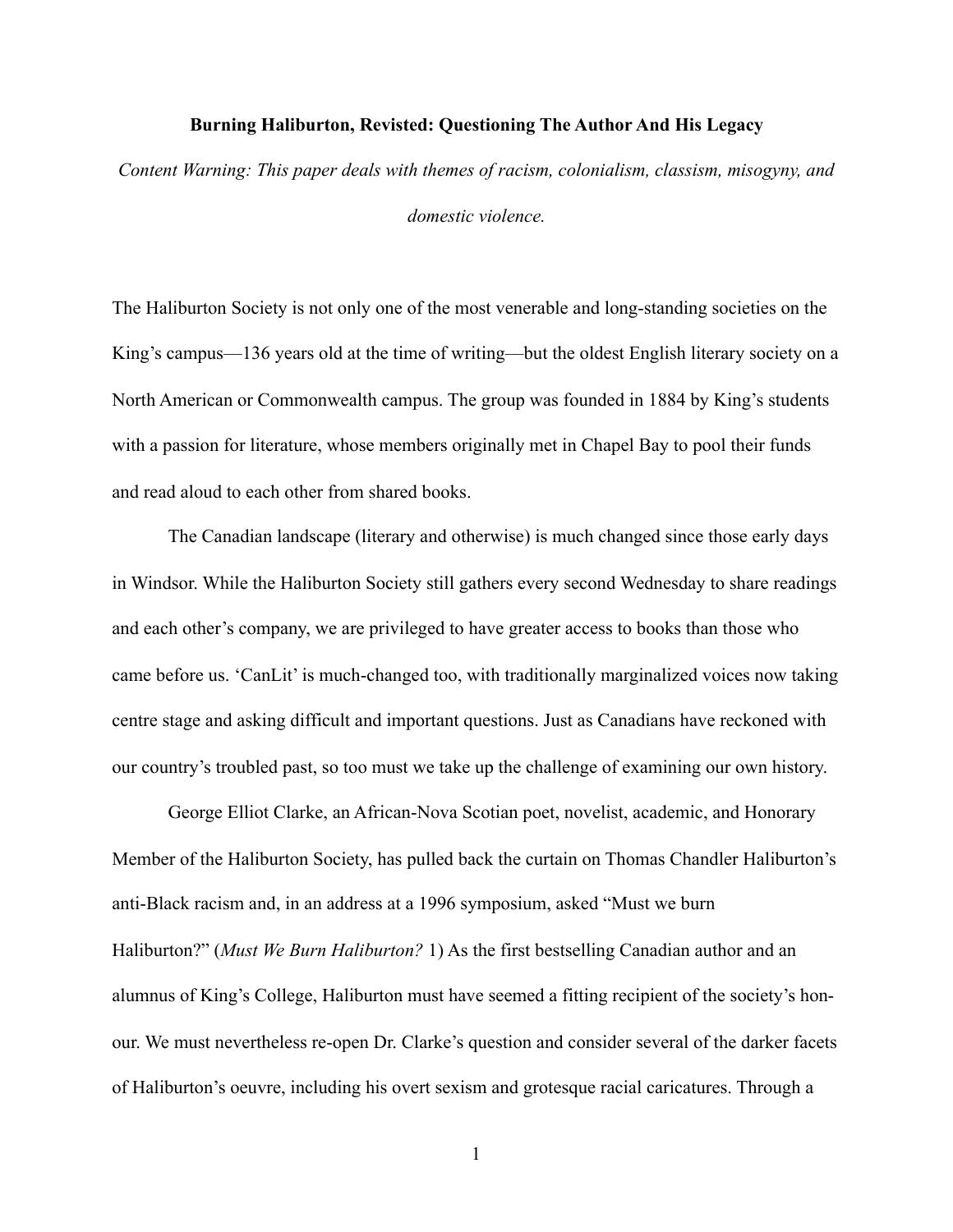## **Burning Haliburton, Revisted: Questioning The Author And His Legacy**

*Content Warning: This paper deals with themes of racism, colonialism, classism, misogyny, and* 

*domestic violence.* 

The Haliburton Society is not only one of the most venerable and long-standing societies on the King's campus—136 years old at the time of writing—but the oldest English literary society on a North American or Commonwealth campus. The group was founded in 1884 by King's students with a passion for literature, whose members originally met in Chapel Bay to pool their funds and read aloud to each other from shared books.

 The Canadian landscape (literary and otherwise) is much changed since those early days in Windsor. While the Haliburton Society still gathers every second Wednesday to share readings and each other's company, we are privileged to have greater access to books than those who came before us. 'CanLit' is much-changed too, with traditionally marginalized voices now taking centre stage and asking difficult and important questions. Just as Canadians have reckoned with our country's troubled past, so too must we take up the challenge of examining our own history.

 George Elliot Clarke, an African-Nova Scotian poet, novelist, academic, and Honorary Member of the Haliburton Society, has pulled back the curtain on Thomas Chandler Haliburton's anti-Black racism and, in an address at a 1996 symposium, asked "Must we burn Haliburton?" (*Must We Burn Haliburton?* 1) As the first bestselling Canadian author and an alumnus of King's College, Haliburton must have seemed a fitting recipient of the society's honour. We must nevertheless re-open Dr. Clarke's question and consider several of the darker facets of Haliburton's oeuvre, including his overt sexism and grotesque racial caricatures. Through a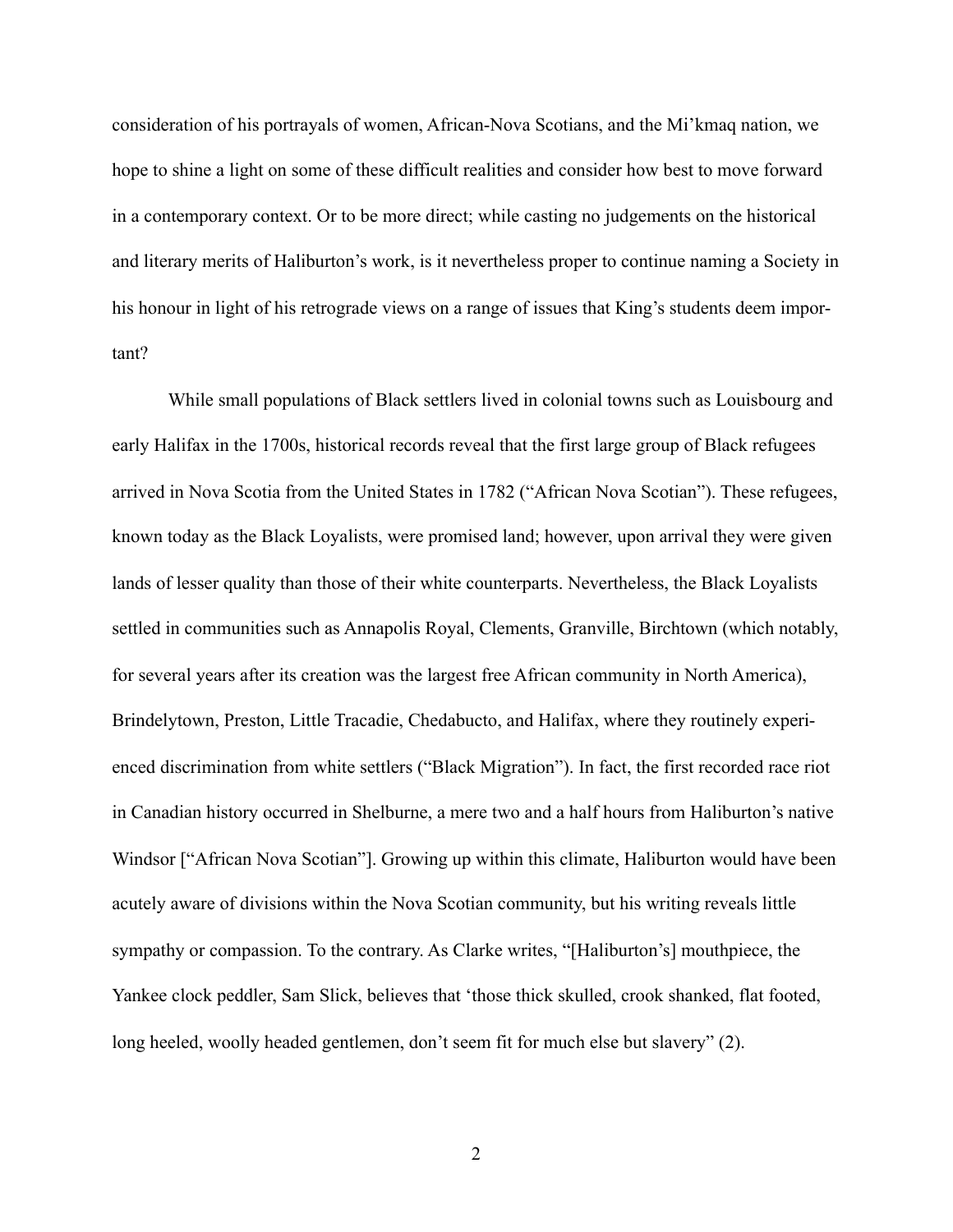consideration of his portrayals of women, African-Nova Scotians, and the Mi'kmaq nation, we hope to shine a light on some of these difficult realities and consider how best to move forward in a contemporary context. Or to be more direct; while casting no judgements on the historical and literary merits of Haliburton's work, is it nevertheless proper to continue naming a Society in his honour in light of his retrograde views on a range of issues that King's students deem important?

 While small populations of Black settlers lived in colonial towns such as Louisbourg and early Halifax in the 1700s, historical records reveal that the first large group of Black refugees arrived in Nova Scotia from the United States in 1782 ("African Nova Scotian"). These refugees, known today as the Black Loyalists, were promised land; however, upon arrival they were given lands of lesser quality than those of their white counterparts. Nevertheless, the Black Loyalists settled in communities such as Annapolis Royal, Clements, Granville, Birchtown (which notably, for several years after its creation was the largest free African community in North America), Brindelytown, Preston, Little Tracadie, Chedabucto, and Halifax, where they routinely experienced discrimination from white settlers ("Black Migration"). In fact, the first recorded race riot in Canadian history occurred in Shelburne, a mere two and a half hours from Haliburton's native Windsor ["African Nova Scotian"]. Growing up within this climate, Haliburton would have been acutely aware of divisions within the Nova Scotian community, but his writing reveals little sympathy or compassion. To the contrary. As Clarke writes, "[Haliburton's] mouthpiece, the Yankee clock peddler, Sam Slick, believes that 'those thick skulled, crook shanked, flat footed, long heeled, woolly headed gentlemen, don't seem fit for much else but slavery" (2).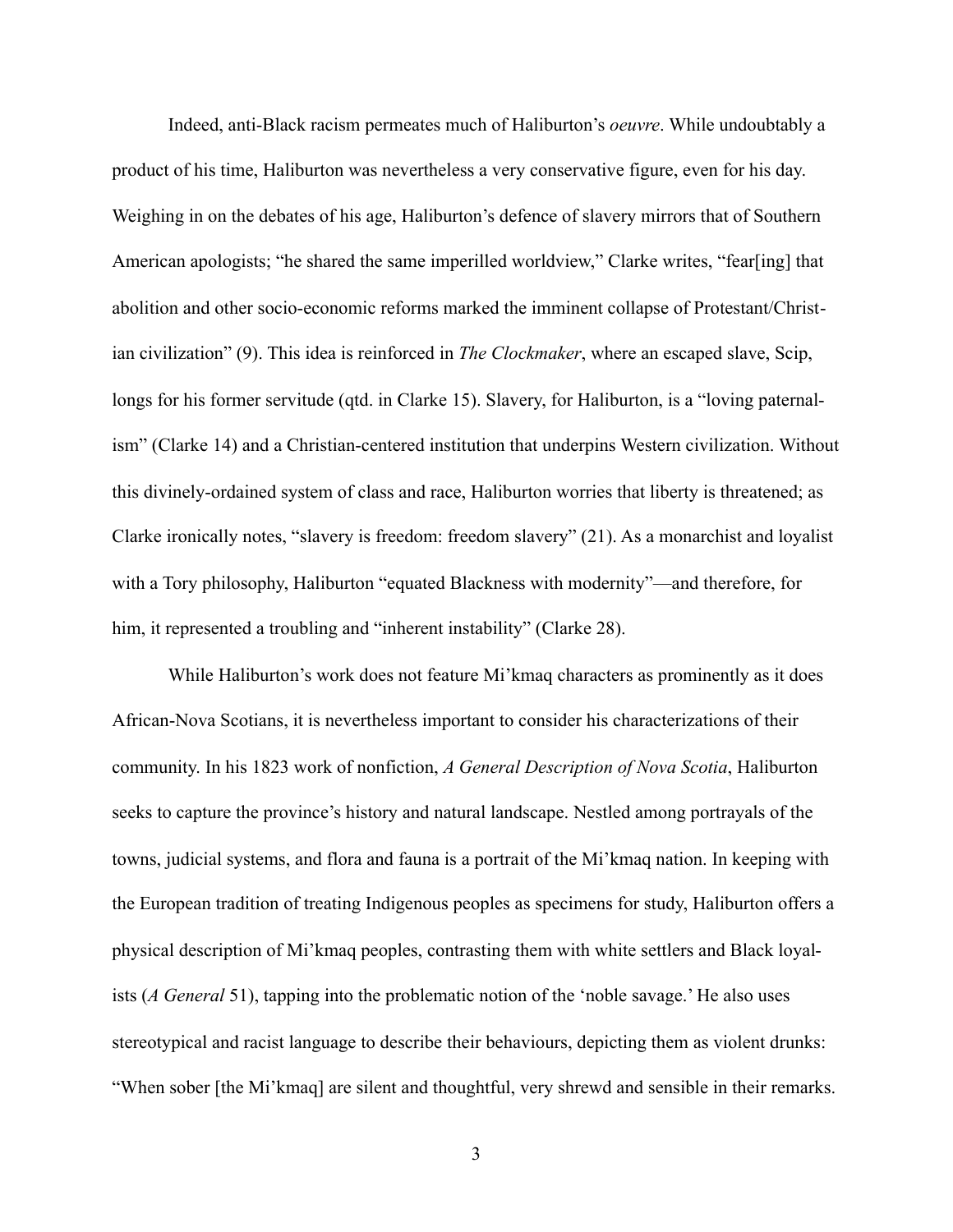Indeed, anti-Black racism permeates much of Haliburton's *oeuvre*. While undoubtably a product of his time, Haliburton was nevertheless a very conservative figure, even for his day. Weighing in on the debates of his age, Haliburton's defence of slavery mirrors that of Southern American apologists; "he shared the same imperilled worldview," Clarke writes, "fear[ing] that abolition and other socio-economic reforms marked the imminent collapse of Protestant/Christian civilization" (9). This idea is reinforced in *The Clockmaker*, where an escaped slave, Scip, longs for his former servitude (qtd. in Clarke 15). Slavery, for Haliburton, is a "loving paternalism" (Clarke 14) and a Christian-centered institution that underpins Western civilization. Without this divinely-ordained system of class and race, Haliburton worries that liberty is threatened; as Clarke ironically notes, "slavery is freedom: freedom slavery" (21). As a monarchist and loyalist with a Tory philosophy, Haliburton "equated Blackness with modernity"––and therefore, for him, it represented a troubling and "inherent instability" (Clarke 28).

 While Haliburton's work does not feature Mi'kmaq characters as prominently as it does African-Nova Scotians, it is nevertheless important to consider his characterizations of their community. In his 1823 work of nonfiction, *A General Description of Nova Scotia*, Haliburton seeks to capture the province's history and natural landscape. Nestled among portrayals of the towns, judicial systems, and flora and fauna is a portrait of the Mi'kmaq nation. In keeping with the European tradition of treating Indigenous peoples as specimens for study, Haliburton offers a physical description of Mi'kmaq peoples, contrasting them with white settlers and Black loyalists (*A General* 51), tapping into the problematic notion of the 'noble savage.' He also uses stereotypical and racist language to describe their behaviours, depicting them as violent drunks: "When sober [the Mi'kmaq] are silent and thoughtful, very shrewd and sensible in their remarks.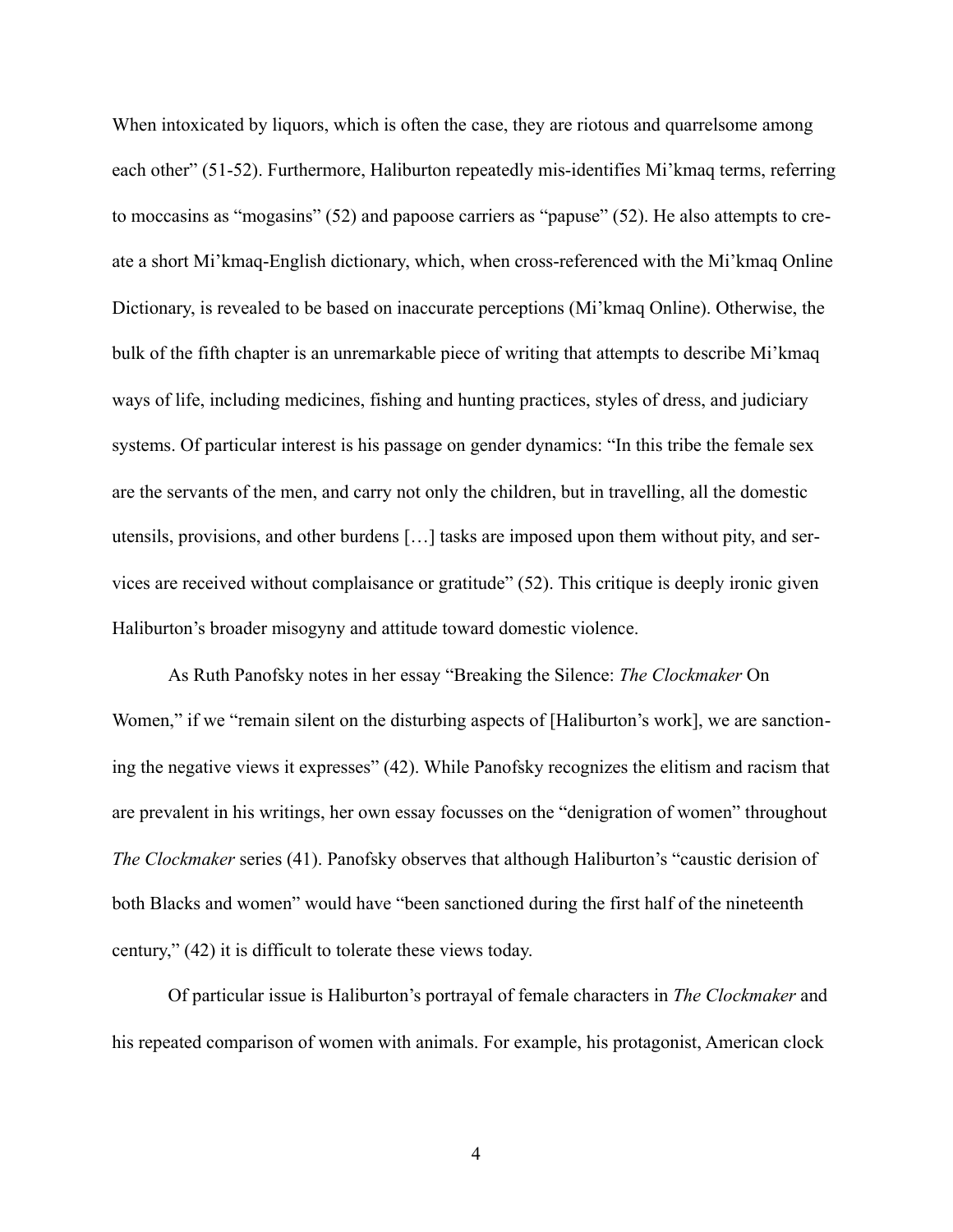When intoxicated by liquors, which is often the case, they are riotous and quarrelsome among each other" (51-52). Furthermore, Haliburton repeatedly mis-identifies Mi'kmaq terms, referring to moccasins as "mogasins" (52) and papoose carriers as "papuse" (52). He also attempts to create a short Mi'kmaq-English dictionary, which, when cross-referenced with the Mi'kmaq Online Dictionary, is revealed to be based on inaccurate perceptions (Mi'kmaq Online). Otherwise, the bulk of the fifth chapter is an unremarkable piece of writing that attempts to describe Mi'kmaq ways of life, including medicines, fishing and hunting practices, styles of dress, and judiciary systems. Of particular interest is his passage on gender dynamics: "In this tribe the female sex are the servants of the men, and carry not only the children, but in travelling, all the domestic utensils, provisions, and other burdens […] tasks are imposed upon them without pity, and services are received without complaisance or gratitude" (52). This critique is deeply ironic given Haliburton's broader misogyny and attitude toward domestic violence.

 As Ruth Panofsky notes in her essay "Breaking the Silence: *The Clockmaker* On Women," if we "remain silent on the disturbing aspects of [Haliburton's work], we are sanctioning the negative views it expresses" (42). While Panofsky recognizes the elitism and racism that are prevalent in his writings, her own essay focusses on the "denigration of women" throughout *The Clockmaker* series (41). Panofsky observes that although Haliburton's "caustic derision of both Blacks and women" would have "been sanctioned during the first half of the nineteenth century," (42) it is difficult to tolerate these views today.

 Of particular issue is Haliburton's portrayal of female characters in *The Clockmaker* and his repeated comparison of women with animals. For example, his protagonist, American clock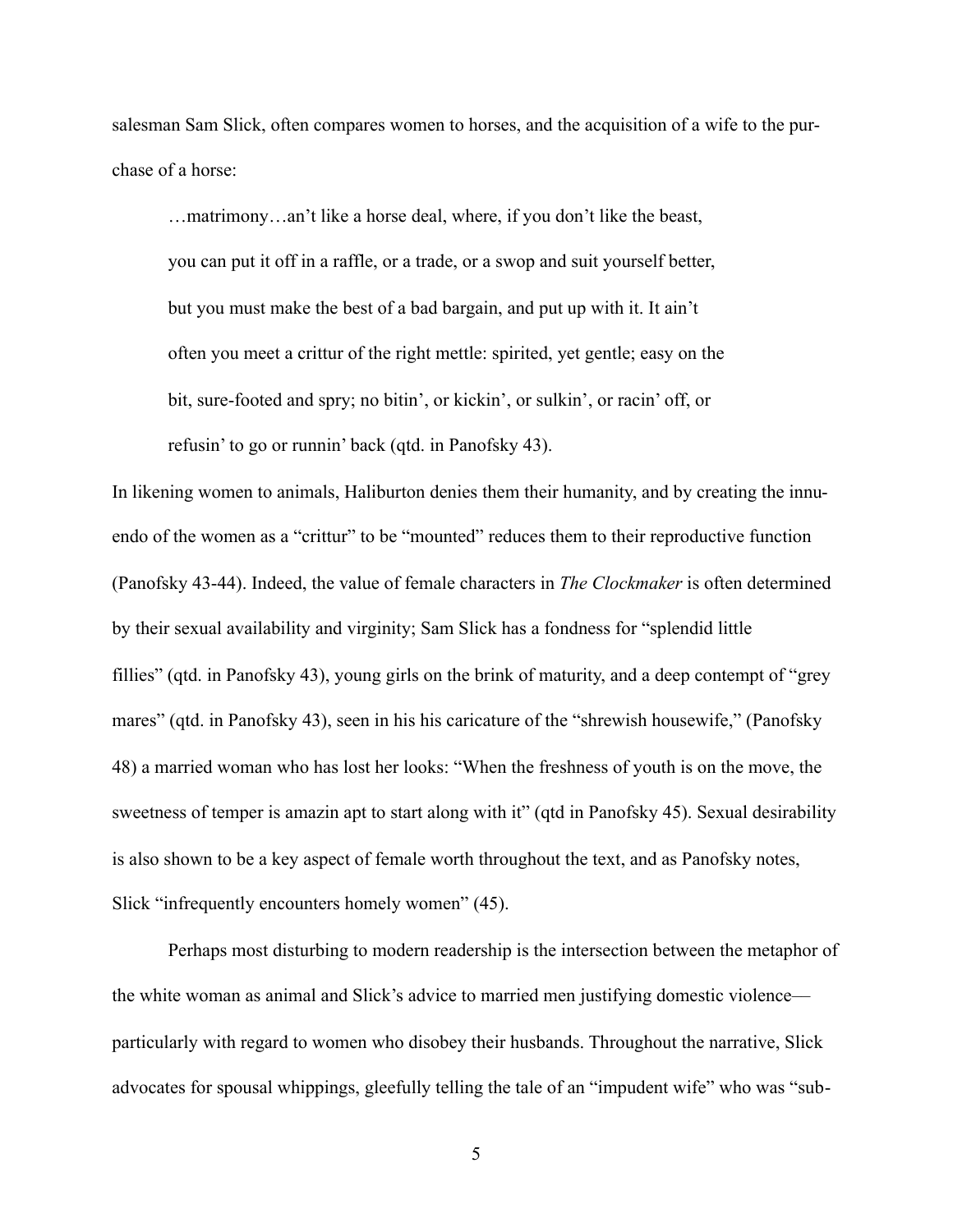salesman Sam Slick, often compares women to horses, and the acquisition of a wife to the purchase of a horse:

 …matrimony…an't like a horse deal, where, if you don't like the beast, you can put it off in a raffle, or a trade, or a swop and suit yourself better, but you must make the best of a bad bargain, and put up with it. It ain't often you meet a crittur of the right mettle: spirited, yet gentle; easy on the bit, sure-footed and spry; no bitin', or kickin', or sulkin', or racin' off, or refusin' to go or runnin' back (qtd. in Panofsky 43).

In likening women to animals, Haliburton denies them their humanity, and by creating the innuendo of the women as a "crittur" to be "mounted" reduces them to their reproductive function (Panofsky 43-44). Indeed, the value of female characters in *The Clockmaker* is often determined by their sexual availability and virginity; Sam Slick has a fondness for "splendid little fillies" (qtd. in Panofsky 43), young girls on the brink of maturity, and a deep contempt of "grey mares" (qtd. in Panofsky 43), seen in his his caricature of the "shrewish housewife," (Panofsky 48) a married woman who has lost her looks: "When the freshness of youth is on the move, the sweetness of temper is amazin apt to start along with it" (qtd in Panofsky 45). Sexual desirability is also shown to be a key aspect of female worth throughout the text, and as Panofsky notes, Slick "infrequently encounters homely women" (45).

 Perhaps most disturbing to modern readership is the intersection between the metaphor of the white woman as animal and Slick's advice to married men justifying domestic violence–– particularly with regard to women who disobey their husbands. Throughout the narrative, Slick advocates for spousal whippings, gleefully telling the tale of an "impudent wife" who was "sub-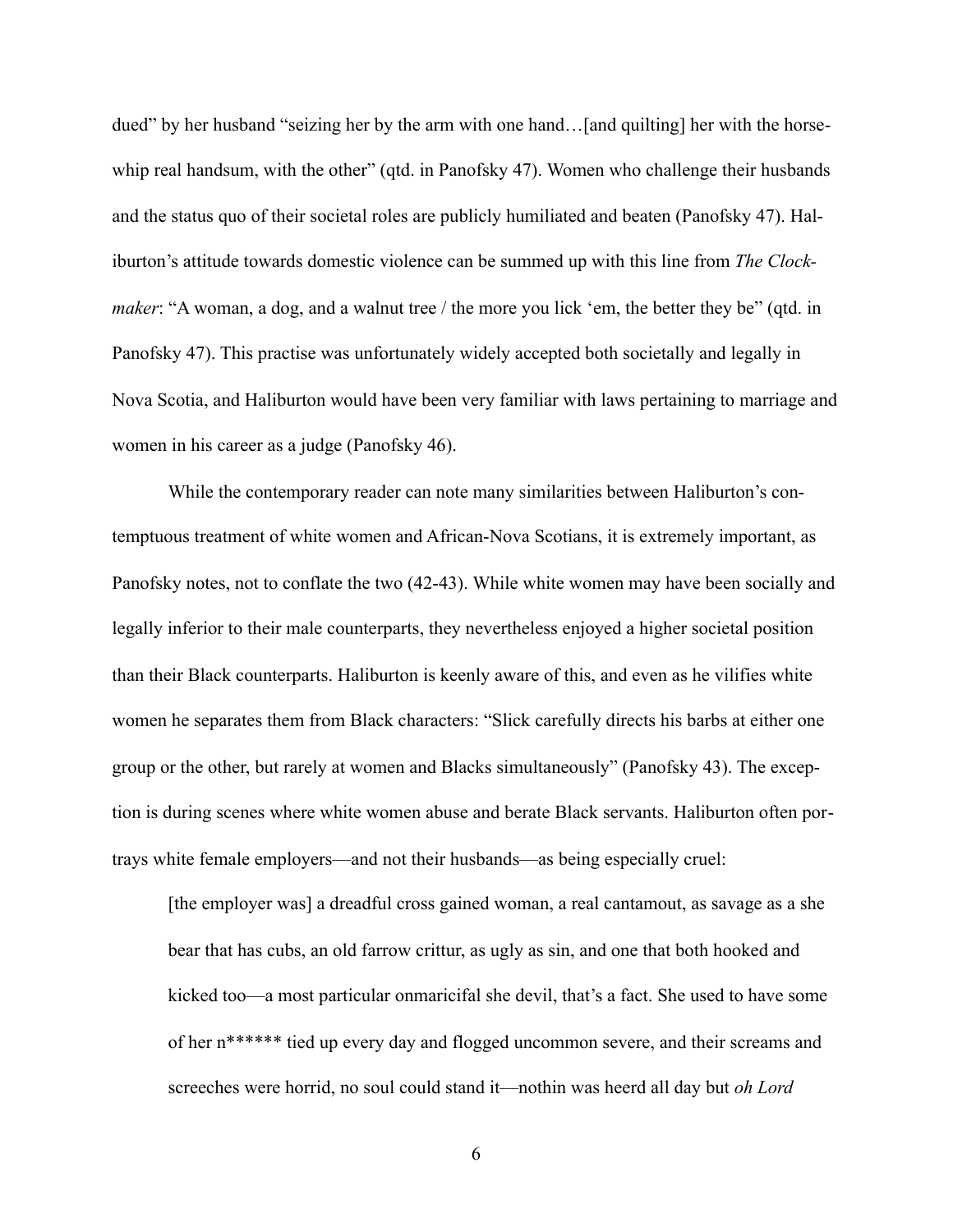dued" by her husband "seizing her by the arm with one hand…[and quilting] her with the horsewhip real handsum, with the other" (qtd. in Panofsky 47). Women who challenge their husbands and the status quo of their societal roles are publicly humiliated and beaten (Panofsky 47). Haliburton's attitude towards domestic violence can be summed up with this line from *The Clockmaker*: "A woman, a dog, and a walnut tree / the more you lick 'em, the better they be" (qtd. in Panofsky 47). This practise was unfortunately widely accepted both societally and legally in Nova Scotia, and Haliburton would have been very familiar with laws pertaining to marriage and women in his career as a judge (Panofsky 46).

 While the contemporary reader can note many similarities between Haliburton's contemptuous treatment of white women and African-Nova Scotians, it is extremely important, as Panofsky notes, not to conflate the two (42-43). While white women may have been socially and legally inferior to their male counterparts, they nevertheless enjoyed a higher societal position than their Black counterparts. Haliburton is keenly aware of this, and even as he vilifies white women he separates them from Black characters: "Slick carefully directs his barbs at either one group or the other, but rarely at women and Blacks simultaneously" (Panofsky 43). The exception is during scenes where white women abuse and berate Black servants. Haliburton often portrays white female employers––and not their husbands––as being especially cruel:

[the employer was] a dreadful cross gained woman, a real cantamout, as savage as a she bear that has cubs, an old farrow crittur, as ugly as sin, and one that both hooked and kicked too––a most particular onmaricifal she devil, that's a fact. She used to have some of her n\*\*\*\*\*\* tied up every day and flogged uncommon severe, and their screams and screeches were horrid, no soul could stand it––nothin was heerd all day but *oh Lord*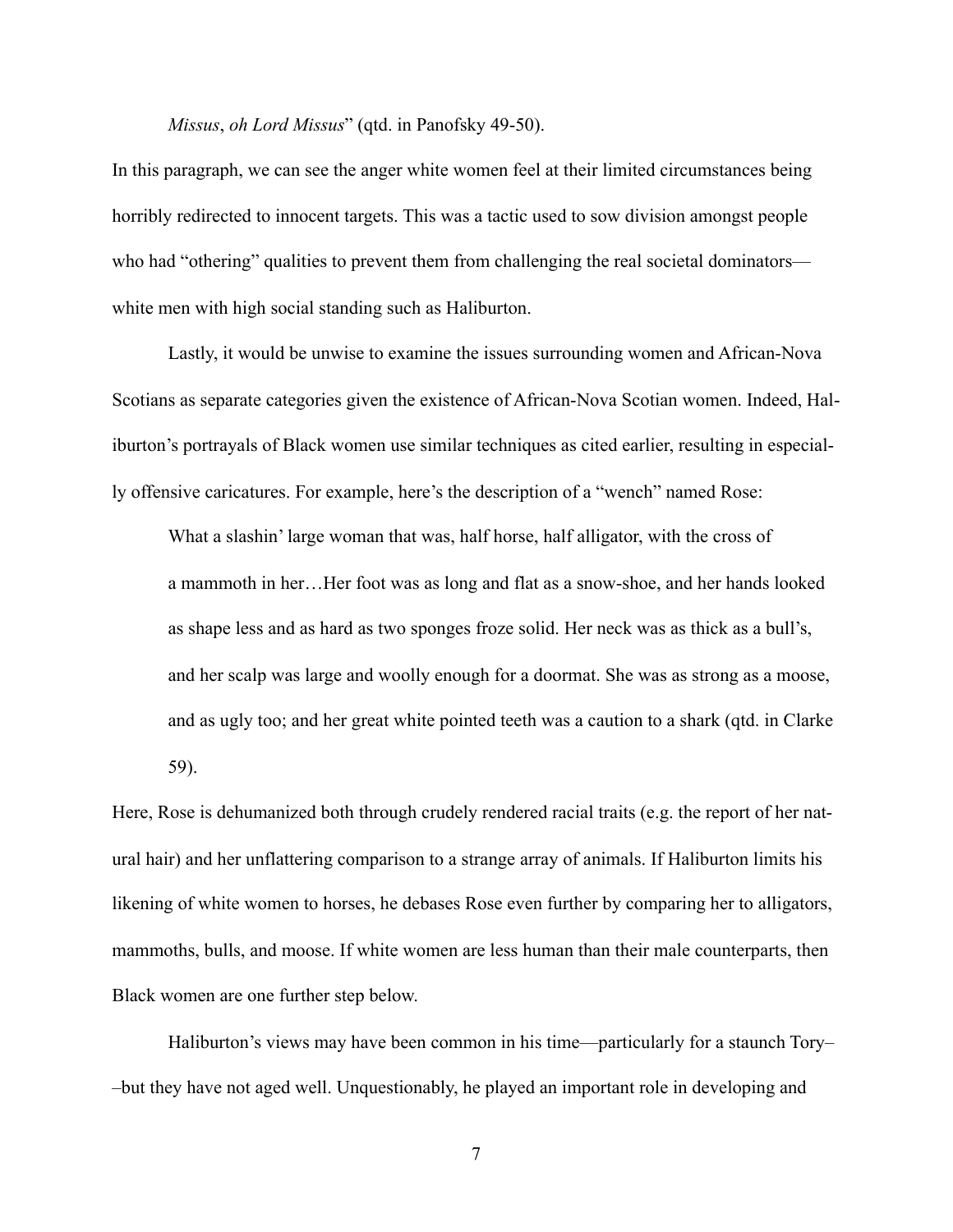*Missus*, *oh Lord Missus*" (qtd. in Panofsky 49-50).

In this paragraph, we can see the anger white women feel at their limited circumstances being horribly redirected to innocent targets. This was a tactic used to sow division amongst people who had "othering" qualities to prevent them from challenging the real societal dominators white men with high social standing such as Haliburton.

 Lastly, it would be unwise to examine the issues surrounding women and African-Nova Scotians as separate categories given the existence of African-Nova Scotian women. Indeed, Haliburton's portrayals of Black women use similar techniques as cited earlier, resulting in especially offensive caricatures. For example, here's the description of a "wench" named Rose:

 What a slashin' large woman that was, half horse, half alligator, with the cross of a mammoth in her…Her foot was as long and flat as a snow-shoe, and her hands looked as shape less and as hard as two sponges froze solid. Her neck was as thick as a bull's, and her scalp was large and woolly enough for a doormat. She was as strong as a moose, and as ugly too; and her great white pointed teeth was a caution to a shark (qtd. in Clarke 59).

Here, Rose is dehumanized both through crudely rendered racial traits (e.g. the report of her natural hair) and her unflattering comparison to a strange array of animals. If Haliburton limits his likening of white women to horses, he debases Rose even further by comparing her to alligators, mammoths, bulls, and moose. If white women are less human than their male counterparts, then Black women are one further step below.

 Haliburton's views may have been common in his time––particularly for a staunch Tory– –but they have not aged well. Unquestionably, he played an important role in developing and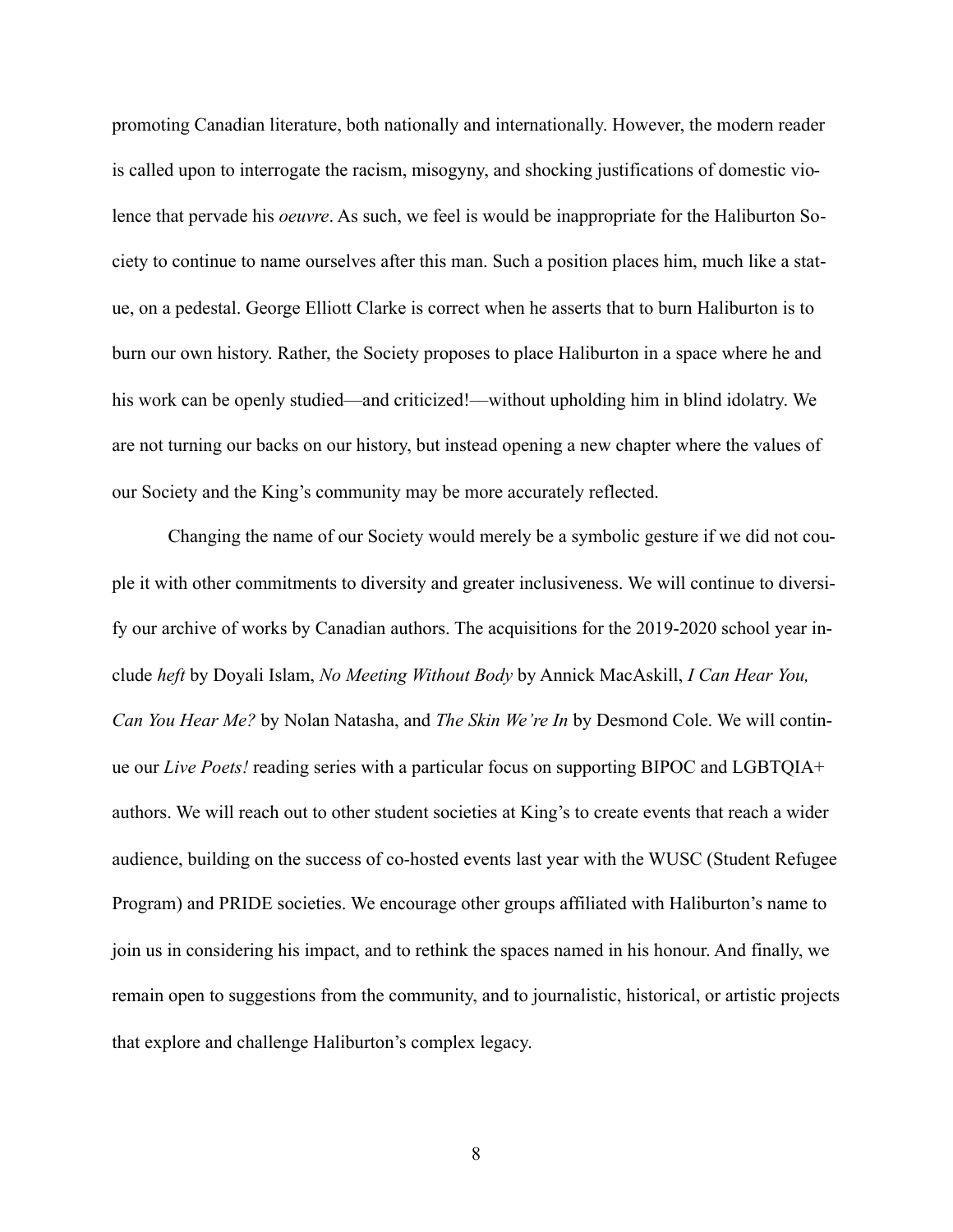promoting Canadian literature, both nationally and internationally. However, the modern reader is called upon to interrogate the racism, misogyny, and shocking justifications of domestic violence that pervade his *oeuvre*. As such, we feel is would be inappropriate for the Haliburton Society to continue to name ourselves after this man. Such a position places him, much like a statue, on a pedestal. George Elliott Clarke is correct when he asserts that to burn Haliburton is to burn our own history. Rather, the Society proposes to place Haliburton in a space where he and his work can be openly studied—and criticized!—without upholding him in blind idolatry. We are not turning our backs on our history, but instead opening a new chapter where the values of our Society and the King's community may be more accurately reflected.

 Changing the name of our Society would merely be a symbolic gesture if we did not couple it with other commitments to diversity and greater inclusiveness. We will continue to diversify our archive of works by Canadian authors. The acquisitions for the 2019-2020 school year include *heft* by Doyali Islam, *No Meeting Without Body* by Annick MacAskill, *I Can Hear You, Can You Hear Me?* by Nolan Natasha, and *The Skin We're In* by Desmond Cole. We will continue our *Live Poets!* reading series with a particular focus on supporting BIPOC and LGBTQIA+ authors. We will reach out to other student societies at King's to create events that reach a wider audience, building on the success of co-hosted events last year with the WUSC (Student Refugee Program) and PRIDE societies. We encourage other groups affiliated with Haliburton's name to join us in considering his impact, and to rethink the spaces named in his honour. And finally, we remain open to suggestions from the community, and to journalistic, historical, or artistic projects that explore and challenge Haliburton's complex legacy.